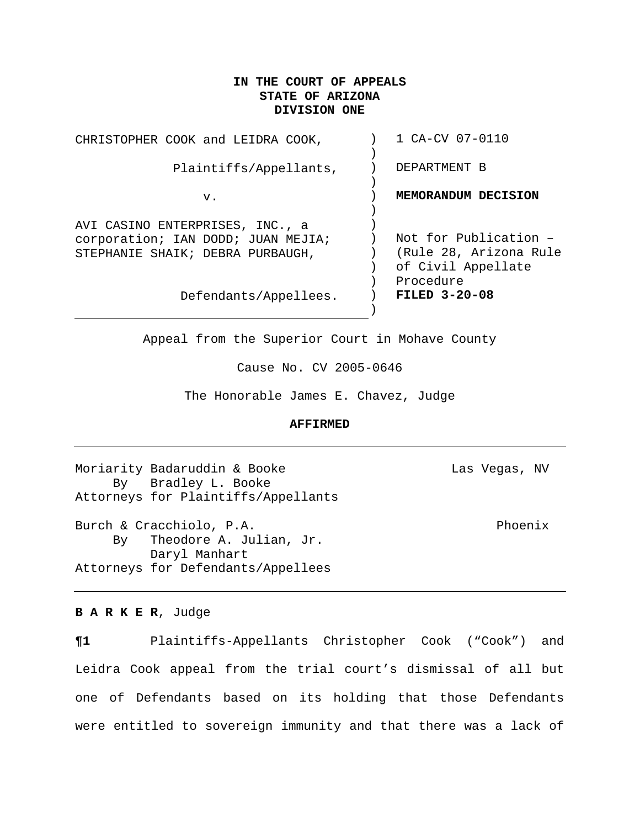# **IN THE COURT OF APPEALS STATE OF ARIZONA DIVISION ONE**

| CHRISTOPHER COOK and LEIDRA COOK,                                                                         | 1 CA-CV 07-0110                                                       |
|-----------------------------------------------------------------------------------------------------------|-----------------------------------------------------------------------|
| Plaintiffs/Appellants,                                                                                    | DEPARTMENT B                                                          |
| v.                                                                                                        | MEMORANDUM DECISION                                                   |
| AVI CASINO ENTERPRISES, INC., a<br>corporation; IAN DODD; JUAN MEJIA;<br>STEPHANIE SHAIK; DEBRA PURBAUGH, | Not for Publication -<br>(Rule 28, Arizona Rule<br>of Civil Appellate |
| Defendants/Appellees.                                                                                     | Procedure<br>FILED $3-20-08$                                          |

Appeal from the Superior Court in Mohave County

Cause No. CV 2005-0646

The Honorable James E. Chavez, Judge

#### **AFFIRMED**

Moriarity Badaruddin & Booke Las Vegas, NV By Bradley L. Booke Attorneys for Plaintiffs/Appellants

Burch & Cracchiolo, P.A. Phoenix By Theodore A. Julian, Jr. Daryl Manhart Attorneys for Defendants/Appellees

## **B A R K E R**, Judge

**¶1** Plaintiffs-Appellants Christopher Cook ("Cook") and Leidra Cook appeal from the trial court's dismissal of all but one of Defendants based on its holding that those Defendants were entitled to sovereign immunity and that there was a lack of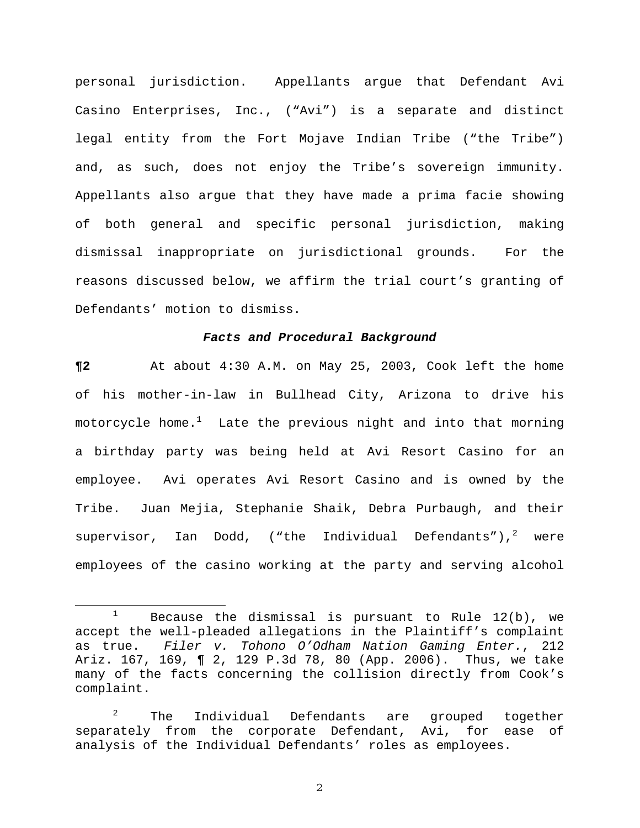personal jurisdiction. Appellants argue that Defendant Avi Casino Enterprises, Inc., ("Avi") is a separate and distinct legal entity from the Fort Mojave Indian Tribe ("the Tribe") and, as such, does not enjoy the Tribe's sovereign immunity. Appellants also argue that they have made a prima facie showing of both general and specific personal jurisdiction, making dismissal inappropriate on jurisdictional grounds. For the reasons discussed below, we affirm the trial court's granting of Defendants' motion to dismiss.

#### *Facts and Procedural Background*

**¶2** At about 4:30 A.M. on May 25, 2003, Cook left the home of his mother-in-law in Bullhead City, Arizona to drive his motorcycle home. $^1$  $^1$  Late the previous night and into that morning a birthday party was being held at Avi Resort Casino for an employee. Avi operates Avi Resort Casino and is owned by the Tribe. Juan Mejia, Stephanie Shaik, Debra Purbaugh, and their supervisor, Ian Dodd, ("the Individual Defendants"), $^2$  $^2$  were employees of the casino working at the party and serving alcohol

<span id="page-1-0"></span><sup>&</sup>lt;sup>1</sup> Because the dismissal is pursuant to Rule  $12(b)$ , we accept the well-pleaded allegations in the Plaintiff's complaint as true. *Filer v. Tohono O'Odham Nation Gaming Enter.*, 212 Ariz. 167, 169, ¶ 2, 129 P.3d 78, 80 (App. 2006). Thus, we take many of the facts concerning the collision directly from Cook's complaint.

<span id="page-1-1"></span> $2^2$  The Individual Defendants are grouped together separately from the corporate Defendant, Avi, for ease of analysis of the Individual Defendants' roles as employees.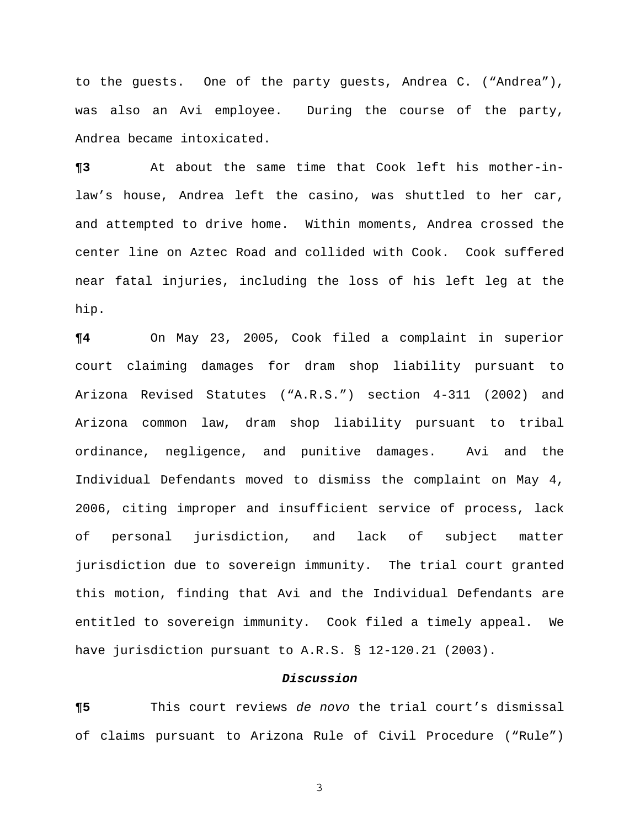to the guests. One of the party guests, Andrea C. ("Andrea"), was also an Avi employee. During the course of the party, Andrea became intoxicated.

**¶3** At about the same time that Cook left his mother-inlaw's house, Andrea left the casino, was shuttled to her car, and attempted to drive home. Within moments, Andrea crossed the center line on Aztec Road and collided with Cook. Cook suffered near fatal injuries, including the loss of his left leg at the hip.

**¶4** On May 23, 2005, Cook filed a complaint in superior court claiming damages for dram shop liability pursuant to Arizona Revised Statutes ("A.R.S.") section 4-311 (2002) and Arizona common law, dram shop liability pursuant to tribal ordinance, negligence, and punitive damages. Avi and the Individual Defendants moved to dismiss the complaint on May 4, 2006, citing improper and insufficient service of process, lack of personal jurisdiction, and lack of subject matter jurisdiction due to sovereign immunity. The trial court granted this motion, finding that Avi and the Individual Defendants are entitled to sovereign immunity. Cook filed a timely appeal. We have jurisdiction pursuant to A.R.S. § 12-120.21 (2003).

### *Discussion*

**¶5** This court reviews *de novo* the trial court's dismissal of claims pursuant to Arizona Rule of Civil Procedure ("Rule")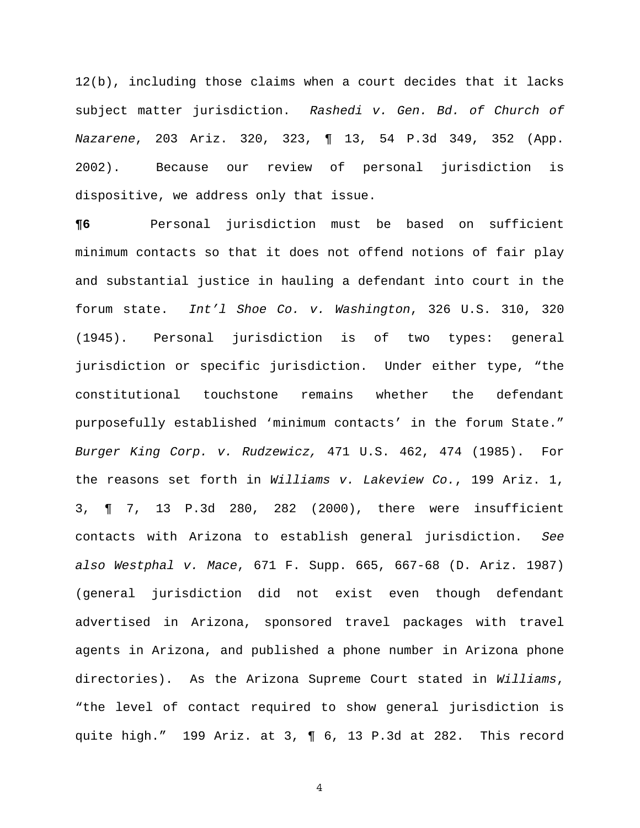12(b), including those claims when a court decides that it lacks subject matter jurisdiction. *Rashedi v. Gen. Bd. of Church of Nazarene*, 203 Ariz. 320, 323, ¶ 13, 54 P.3d 349, 352 (App. 2002). Because our review of personal jurisdiction is dispositive, we address only that issue.

**¶6** Personal jurisdiction must be based on sufficient minimum contacts so that it does not offend notions of fair play and substantial justice in hauling a defendant into court in the forum state. *Int'l Shoe Co. v. Washington*, 326 U.S. 310, 320 (1945). Personal jurisdiction is of two types: general jurisdiction or specific jurisdiction. Under either type, "the constitutional touchstone remains whether the defendant purposefully established 'minimum contacts' in the forum State." *Burger King Corp. v. Rudzewicz,* 471 U.S. 462, 474 (1985). For the reasons set forth in *Williams v. Lakeview Co.*, 199 Ariz. 1, 3, ¶ 7, 13 P.3d 280, 282 (2000), there were insufficient contacts with Arizona to establish general jurisdiction. *See also Westphal v. Mace*, 671 F. Supp. 665, 667-68 (D. Ariz. 1987) (general jurisdiction did not exist even though defendant advertised in Arizona, sponsored travel packages with travel agents in Arizona, and published a phone number in Arizona phone directories). As the Arizona Supreme Court stated in *Williams*, "the level of contact required to show general jurisdiction is quite high." 199 Ariz. at 3, ¶ 6, 13 P.3d at 282. This record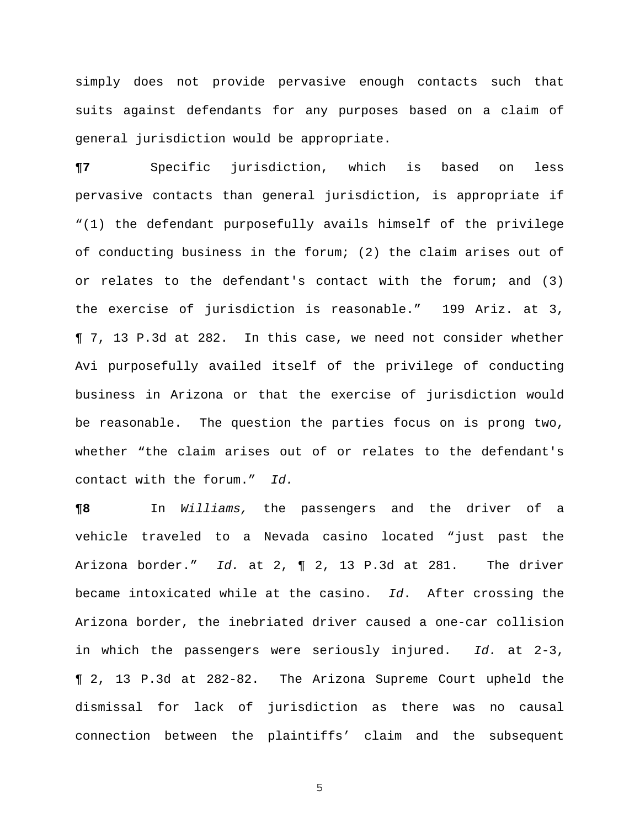simply does not provide pervasive enough contacts such that suits against defendants for any purposes based on a claim of general jurisdiction would be appropriate.

**¶7** Specific jurisdiction, which is based on less pervasive contacts than general jurisdiction, is appropriate if "(1) the defendant purposefully avails himself of the privilege of conducting business in the forum; (2) the claim arises out of or relates to the defendant's contact with the forum; and (3) the exercise of jurisdiction is reasonable." 199 Ariz. at 3, ¶ 7, 13 P.3d at 282. In this case, we need not consider whether Avi purposefully availed itself of the privilege of conducting business in Arizona or that the exercise of jurisdiction would be reasonable. The question the parties focus on is prong two, whether "the claim arises out of or relates to the defendant's contact with the forum." *Id.*

**¶8** In *Williams,* the passengers and the driver of a vehicle traveled to a Nevada casino located "just past the Arizona border." *Id.* at 2, ¶ 2, 13 P.3d at 281. The driver became intoxicated while at the casino. *Id*. After crossing the Arizona border, the inebriated driver caused a one-car collision in which the passengers were seriously injured. *Id.* at 2-3, ¶ 2, 13 P.3d at 282-82. The Arizona Supreme Court upheld the dismissal for lack of jurisdiction as there was no causal connection between the plaintiffs' claim and the subsequent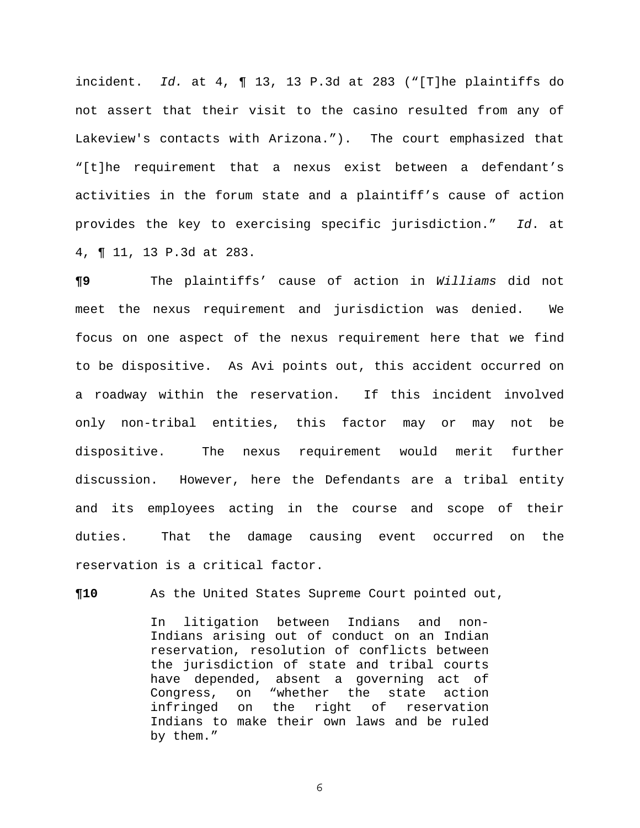incident. *Id.* at 4, ¶ 13, 13 P.3d at 283 ("[T]he plaintiffs do not assert that their visit to the casino resulted from any of Lakeview's contacts with Arizona."). The court emphasized that "[t]he requirement that a nexus exist between a defendant's activities in the forum state and a plaintiff's cause of action provides the key to exercising specific jurisdiction." *Id*. at 4, ¶ 11, 13 P.3d at 283.

**¶9** The plaintiffs' cause of action in *Williams* did not meet the nexus requirement and jurisdiction was denied. We focus on one aspect of the nexus requirement here that we find to be dispositive. As Avi points out, this accident occurred on a roadway within the reservation. If this incident involved only non-tribal entities, this factor may or may not be dispositive. The nexus requirement would merit further discussion. However, here the Defendants are a tribal entity and its employees acting in the course and scope of their duties. That the damage causing event occurred on the reservation is a critical factor.

**¶10** As the United States Supreme Court pointed out,

In litigation between Indians and non-Indians arising out of conduct on an Indian reservation, resolution of conflicts between the jurisdiction of state and tribal courts have depended, absent a governing act of Congress, on "whether the state action infringed on the right of reservation Indians to make their own laws and be ruled by them."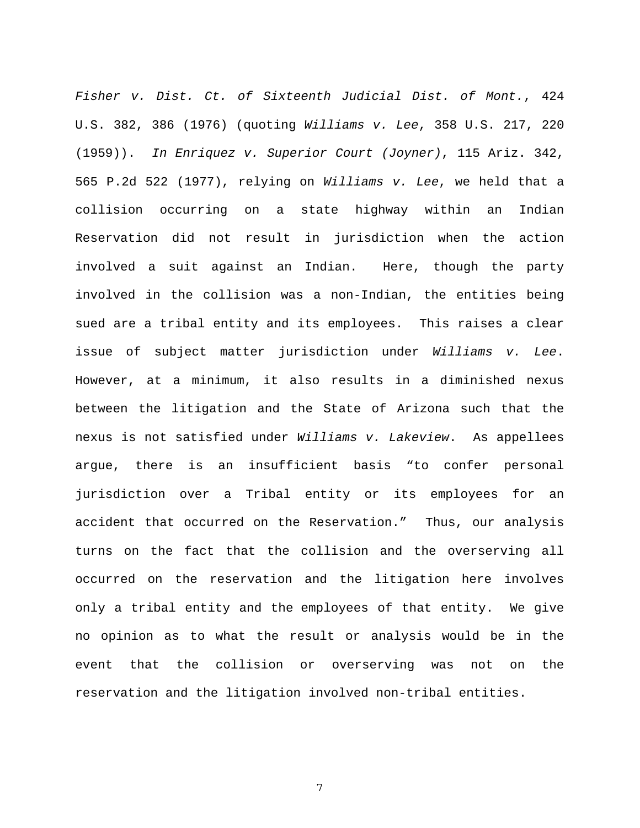*Fisher v. Dist. Ct. of Sixteenth Judicial Dist. of Mont.*, 424 U.S. 382, 386 (1976) (quoting *Williams v. Lee*, 358 U.S. 217, 220 (1959)). *In Enriquez v. Superior Court (Joyner)*, 115 Ariz. 342, 565 P.2d 522 (1977), relying on *Williams v. Lee*, we held that a collision occurring on a state highway within an Indian Reservation did not result in jurisdiction when the action involved a suit against an Indian. Here, though the party involved in the collision was a non-Indian, the entities being sued are a tribal entity and its employees. This raises a clear issue of subject matter jurisdiction under *Williams v. Lee*. However, at a minimum, it also results in a diminished nexus between the litigation and the State of Arizona such that the nexus is not satisfied under *Williams v. Lakeview*. As appellees argue, there is an insufficient basis "to confer personal jurisdiction over a Tribal entity or its employees for an accident that occurred on the Reservation." Thus, our analysis turns on the fact that the collision and the overserving all occurred on the reservation and the litigation here involves only a tribal entity and the employees of that entity. We give no opinion as to what the result or analysis would be in the event that the collision or overserving was not on the reservation and the litigation involved non-tribal entities.